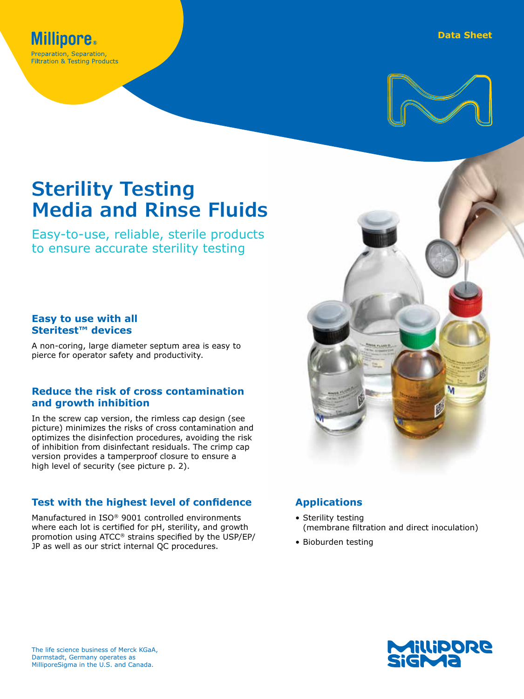



# **Sterility Testing Media and Rinse Fluids**

Easy-to-use, reliable, sterile products to ensure accurate sterility testing

## **Easy to use with all Steritest™ devices**

A non-coring, large diameter septum area is easy to pierce for operator safety and productivity.

### **Reduce the risk of cross contamination and growth inhibition**

In the screw cap version, the rimless cap design (see picture) minimizes the risks of cross contamination and optimizes the disinfection procedures, avoiding the risk of inhibition from disinfectant residuals. The crimp cap version provides a tamperproof closure to ensure a high level of security (see picture p. 2).

## **Test with the highest level of confidence**

Manufactured in ISO® 9001 controlled environments where each lot is certified for pH, sterility, and growth promotion using ATCC® strains specified by the USP/EP/ JP as well as our strict internal QC procedures.



# **Applications**

- Sterility testing (membrane filtration and direct inoculation)
- Bioburden testing

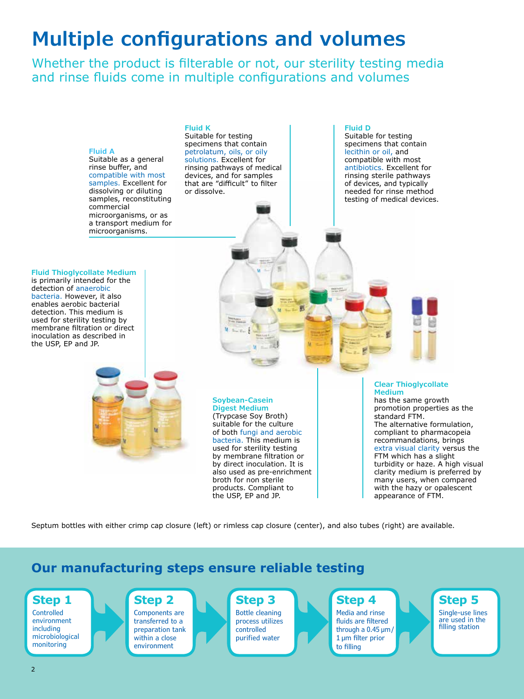# **Multiple configurations and volumes**

Whether the product is filterable or not, our sterility testing media and rinse fluids come in multiple configurations and volumes



Septum bottles with either crimp cap closure (left) or rimless cap closure (center), and also tubes (right) are available.

# **Our manufacturing steps ensure reliable testing**

# **Step 1 Controlled**

environment including microbiological monitoring

#### **Step 2** Components are transferred to a preparation tank within a close

environment

#### **Step 3** Bottle cleaning process utilizes controlled purified water

# **Step 4**

Media and rinse fluids are filtered through a 0.45 μm/ 1 μm filter prior to filling

**Step 5** Single-use lines are used in the filling station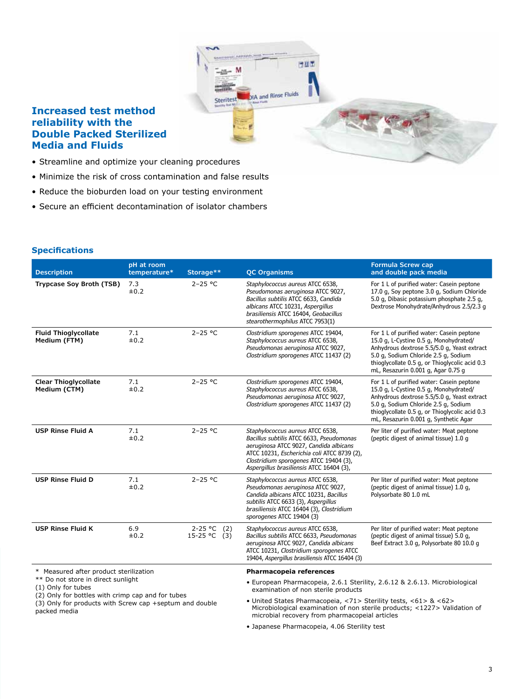

### **Increased test method reliability with the Double Packed Sterilized Media and Fluids**

- Streamline and optimize your cleaning procedures
- Minimize the risk of cross contamination and false results
- Reduce the bioburden load on your testing environment
- Secure an efficient decontamination of isolator chambers

#### **Specifications**

| <b>Description</b>                                                                                                                                                                                                 | pH at room<br>temperature* | Storage**                            | <b>QC Organisms</b>                                                                                                                                                                                                                                         | <b>Formula Screw cap</b><br>and double pack media                                                                                                                                                                                                                     |  |
|--------------------------------------------------------------------------------------------------------------------------------------------------------------------------------------------------------------------|----------------------------|--------------------------------------|-------------------------------------------------------------------------------------------------------------------------------------------------------------------------------------------------------------------------------------------------------------|-----------------------------------------------------------------------------------------------------------------------------------------------------------------------------------------------------------------------------------------------------------------------|--|
| Trypcase Soy Broth (TSB)                                                                                                                                                                                           | 7.3<br>$\pm 0.2$           | $2 - 25 °C$                          | Staphylococcus aureus ATCC 6538,<br>Pseudomonas aeruginosa ATCC 9027,<br>Bacillus subtilis ATCC 6633, Candida<br>albicans ATCC 10231, Aspergillus<br>brasiliensis ATCC 16404, Geobacillus<br>stearothermophilus ATCC 7953(1)                                | For 1 L of purified water: Casein peptone<br>17.0 g, Soy peptone 3.0 g, Sodium Chloride<br>5.0 g, Dibasic potassium phosphate 2.5 g,<br>Dextrose Monohydrate/Anhydrous 2.5/2.3 g                                                                                      |  |
| <b>Fluid Thioglycollate</b><br>Medium (FTM)                                                                                                                                                                        | 7.1<br>±0.2                | $2 - 25 °C$                          | Clostridium sporogenes ATCC 19404,<br>Staphylococcus aureus ATCC 6538,<br>Pseudomonas aeruginosa ATCC 9027,<br>Clostridium sporogenes ATCC 11437 (2)                                                                                                        | For 1 L of purified water: Casein peptone<br>15.0 g, L-Cystine 0.5 g, Monohydrated/<br>Anhydrous dextrose 5.5/5.0 g, Yeast extract<br>5.0 g, Sodium Chloride 2.5 g, Sodium<br>thioglycollate 0.5 g, or Thioglycolic acid 0.3<br>mL, Resazurin 0.001 g, Agar 0.75 g    |  |
| <b>Clear Thioglycollate</b><br>Medium (CTM)                                                                                                                                                                        | 7.1<br>±0.2                | $2 - 25 °C$                          | Clostridium sporogenes ATCC 19404,<br>Staphylococcus aureus ATCC 6538,<br>Pseudomonas aeruginosa ATCC 9027,<br>Clostridium sporogenes ATCC 11437 (2)                                                                                                        | For 1 L of purified water: Casein peptone<br>15.0 g, L-Cystine 0.5 g, Monohydrated/<br>Anhydrous dextrose 5.5/5.0 g, Yeast extract<br>5.0 g, Sodium Chloride 2.5 g, Sodium<br>thioglycollate 0.5 g, or Thioglycolic acid 0.3<br>mL, Resazurin 0.001 g, Synthetic Agar |  |
| <b>USP Rinse Fluid A</b>                                                                                                                                                                                           | 7.1<br>±0.2                | $2 - 25 °C$                          | Staphylococcus aureus ATCC 6538,<br>Bacillus subtilis ATCC 6633, Pseudomonas<br>aeruginosa ATCC 9027, Candida albicans<br>ATCC 10231, Escherichia coli ATCC 8739 (2),<br>Clostridium sporogenes ATCC 19404 (3),<br>Aspergillus brasiliensis ATCC 16404 (3), | Per liter of purified water: Meat peptone<br>(peptic digest of animal tissue) 1.0 g                                                                                                                                                                                   |  |
| <b>USP Rinse Fluid D</b>                                                                                                                                                                                           | 7.1<br>±0.2                | $2 - 25 °C$                          | Staphylococcus aureus ATCC 6538,<br>Pseudomonas aeruginosa ATCC 9027,<br>Candida albicans ATCC 10231, Bacillus<br>subtilis ATCC 6633 (3), Aspergillus<br>brasiliensis ATCC 16404 (3), Clostridium<br>sporogenes ATCC 19404 (3)                              | Per liter of purified water: Meat peptone<br>(peptic digest of animal tissue) 1.0 g,<br>Polysorbate 80 1.0 mL                                                                                                                                                         |  |
| <b>USP Rinse Fluid K</b>                                                                                                                                                                                           | 6.9<br>±0.2                | $2 - 25 °C$<br>(2)<br>$15-25$ °C (3) | Staphylococcus aureus ATCC 6538,<br>Bacillus subtilis ATCC 6633, Pseudomonas<br>aeruginosa ATCC 9027, Candida albicans<br>ATCC 10231, Clostridium sporogenes ATCC<br>19404, Aspergillus brasiliensis ATCC 16404 (3)                                         | Per liter of purified water: Meat peptone<br>(peptic digest of animal tissue) 5.0 g,<br>Beef Extract 3.0 g, Polysorbate 80 10.0 g                                                                                                                                     |  |
| * Measured after product sterilization<br>** Do not store in direct sunlight<br>(1) Only for tubes<br>(2) Only for bottles with crimp cap and for tubes<br>(3) Only for products with Screw can +sentum and double |                            |                                      | Pharmacopeia references                                                                                                                                                                                                                                     |                                                                                                                                                                                                                                                                       |  |
|                                                                                                                                                                                                                    |                            |                                      | • European Pharmacopeia, 2.6.1 Sterility, 2.6.12 & 2.6.13. Microbiological<br>examination of non sterile products                                                                                                                                           |                                                                                                                                                                                                                                                                       |  |
|                                                                                                                                                                                                                    |                            |                                      | • United States Pharmacopeia, <71> Sterility tests, <61> & <62>                                                                                                                                                                                             |                                                                                                                                                                                                                                                                       |  |

(3) Only for products with Screw cap +septum and double packed media

• Japanese Pharmacopeia, 4.06 Sterility test

microbial recovery from pharmacopeial articles

Microbiological examination of non sterile products; <1227> Validation of